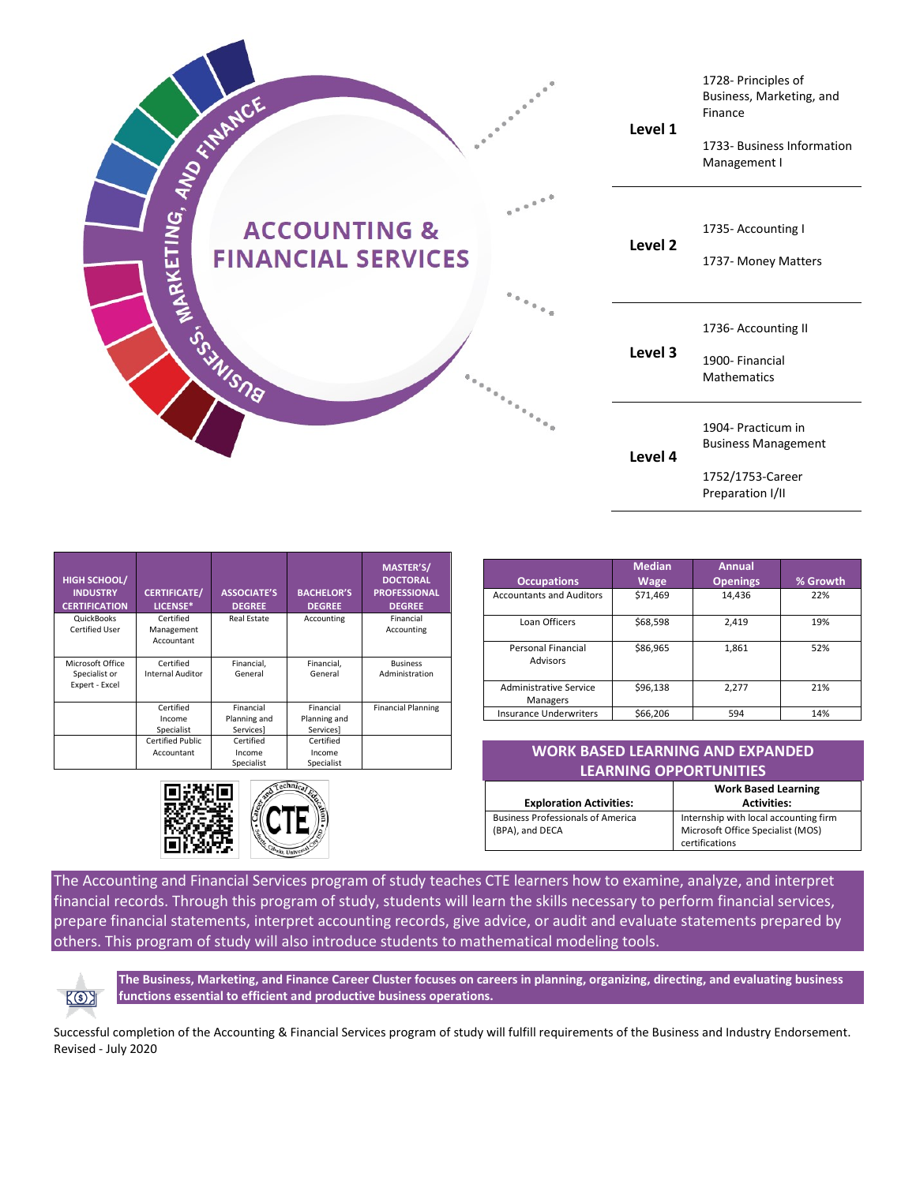| WANNOE AND                                                                            |                  | Level 1            | 1728- Principles of<br>Business, Marketing, and<br>Finance<br>1733- Business Information<br>Management I |
|---------------------------------------------------------------------------------------|------------------|--------------------|----------------------------------------------------------------------------------------------------------|
| <b>SOSIETING, ARKETING, A</b><br><b>ACCOUNTING &amp;</b><br><b>FINANCIAL SERVICES</b> | $\alpha^{(n-1)}$ | Level <sub>2</sub> | 1735- Accounting I<br>1737- Money Matters                                                                |
|                                                                                       |                  | Level 3            | 1736- Accounting II<br>1900- Financial<br><b>Mathematics</b>                                             |
|                                                                                       |                  | Level 4            | 1904- Practicum in<br><b>Business Management</b><br>1752/1753-Career<br>Preparation I/II                 |

| <b>HIGH SCHOOL/</b><br><b>INDUSTRY</b><br><b>CERTIFICATION</b> | <b>CERTIFICATE/</b><br>LICENSE* | <b>ASSOCIATE'S</b><br><b>DEGREE</b> | <b>BACHELOR'S</b><br><b>DEGREE</b> | <b>MASTER'S/</b><br><b>DOCTORAL</b><br><b>PROFESSIONAL</b><br><b>DEGREE</b> |
|----------------------------------------------------------------|---------------------------------|-------------------------------------|------------------------------------|-----------------------------------------------------------------------------|
| QuickBooks<br>Certified User                                   | Certified<br>Management         | Real Estate                         | Accounting                         | Financial<br>Accounting                                                     |
|                                                                | Accountant                      |                                     |                                    |                                                                             |
| Microsoft Office                                               | Certified                       | Financial,                          | Financial,                         | <b>Business</b>                                                             |
| Specialist or                                                  | <b>Internal Auditor</b>         | General                             | General                            | Administration                                                              |
| Expert - Excel                                                 |                                 |                                     |                                    |                                                                             |
|                                                                | Certified                       | Financial                           | Financial                          | <b>Financial Planning</b>                                                   |
|                                                                | Income                          | Planning and                        | Planning and                       |                                                                             |
|                                                                | Specialist                      | Services                            | Services]                          |                                                                             |
|                                                                | Certified Public                | Certified                           | Certified                          |                                                                             |
|                                                                | Accountant                      | Income                              | Income                             |                                                                             |
|                                                                |                                 | Specialist                          | Specialist                         |                                                                             |



| <b>Occupations</b>                 | <b>Median</b><br>Wage | <b>Annual</b><br><b>Openings</b> | % Growth |
|------------------------------------|-----------------------|----------------------------------|----------|
| <b>Accountants and Auditors</b>    | \$71,469              | 14,436                           | 22%      |
| Loan Officers                      | \$68,598              | 2,419                            | 19%      |
| Personal Financial<br>Advisors     | \$86,965              | 1,861                            | 52%      |
| Administrative Service<br>Managers | \$96,138              | 2,277                            | 21%      |
| <b>Insurance Underwriters</b>      | \$66,206              | 594                              | 14%      |

| <b>WORK BASED LEARNING AND EXPANDED</b>  |                                       |  |  |
|------------------------------------------|---------------------------------------|--|--|
| <b>LEARNING OPPORTUNITIES</b>            |                                       |  |  |
|                                          | <b>Work Based Learning</b>            |  |  |
| <b>Exploration Activities:</b>           | <b>Activities:</b>                    |  |  |
| <b>Business Professionals of America</b> | Internship with local accounting firm |  |  |
| (BPA), and DECA                          | Microsoft Office Specialist (MOS)     |  |  |

certifications

The Accounting and Financial Services program of study teaches CTE learners how to examine, analyze, and interpret financial records. Through this program of study, students will learn the skills necessary to perform financial services, prepare financial statements, interpret accounting records, give advice, or audit and evaluate statements prepared by others. This program of study will also introduce students to mathematical modeling tools.



**The Business, Marketing, and Finance Career Cluster focuses on careers in planning, organizing, directing, and evaluating business functions essential to efficient and productive business operations.**

Successful completion of the Accounting & Financial Services program of study will fulfill requirements of the Business and Industry Endorsement. Revised - July 2020